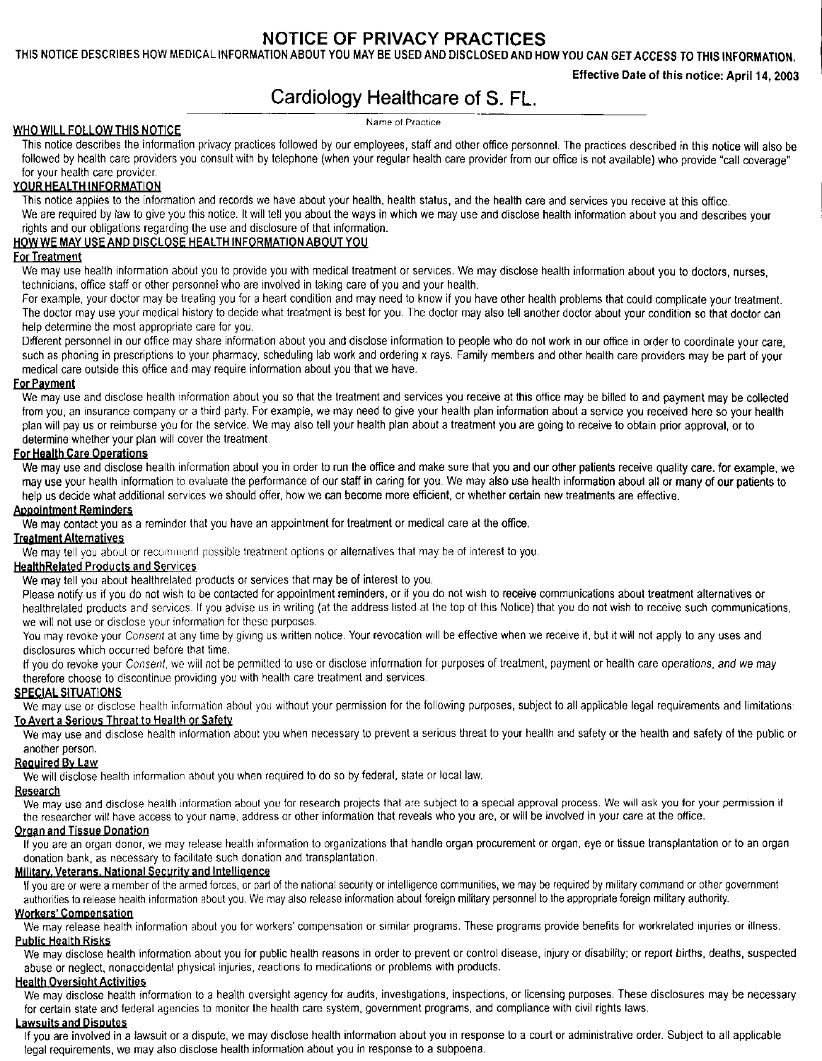# **NOTICE OF PRIVACY PRACTICES**

**THIS NOTICE DESCRIBES HOW** MEDICAL **INFORMATION ABOUT YOU MAY BE USED AND DISCLOSED AND HOW YOU CAN GET ACCESS TO THIS INFORMATION.**

**Effective Date of this notice: April 14, 2003**

# Cardiology Healthcare of S. FL.

Name of Practice

### **WHO WILL FOLLOW THIS NOTICE**

This notice describes the information privacy practices followed by our employees, staff and other office personnel. The practices described in this notice will also be followed by health care providers you consult with by telephone (when your regular health care provider from our office is not available) who provide "call coverage" for your health care provider.

# **YOUR HEALTH INFORMATION**

This notice applies to the information and records we have about your health, health status, and the **health** care and services you receive at this office. We are required by law to give you this notice. It will tell you about the ways in which we may use and disclose health information about you and describes your

#### rights and our obligations regarding the use and disclosure of that information. **HOW WE MAY USE AND DISCLOSE HEALTH INFORMATION ABOUT YOU**

#### **For Treatment**

We may use health information about you to provide you with medical treatment or services. We may disclose health information about you to doctors, nurses, technicians, office staff or other personnel who are involved in taking care of you and your health.

For example, your doctor may be treating you for a heart condition and may need to know if you have other health problems that could complicate your treatment. The doctor may use your medical history to decide what treatment is best for you. The doctor may **also** tell another doctor about your condition so that doctor can help determine the most appropriate care for you.

Different personnel in our office may share information about you and disclose information to people who do not work in our office in order to coordinate your care, such as phoning in prescriptions to your pharmacy, scheduling lab work and ordering x rays. Family members and other health care providers may be part of **your** medical care outside this office and may require information about you that we have.

#### **For Payment**

We may use and disclose health information about you so that the treatment and services you receive **at this** office may be billed to and payment may be collected from you, an insurance company or a third party. For example, we may need to give your health plan information about a service you received **here so** your health plan will pay us or reimburse you for the service. We may also tell your health plan about a treatment you are going to receive to obtain prior approval, or to determine whether your plan will cover the treatment.

#### **For Health Care Operations**

We may use and disclose health information about you in order to run the office and make sure that **you and** our **other patients** receive quality **care, for example, we** may use your health information to evaluate the performance of our **staff in** caring for you. We may also **use** health information about all or **many of our patients to** help us decide what additional services we should offer, how we can become more efficient, or whether **certain** new treatments are effective.

#### **Appointment Reminders**

We may contact you as a reminder that you have an appointment for treatment or medical care at the **office.**

#### **Treatment Alternatives**

We may tell you about or recommend possible treatment options or alternatives that may be of interest to you.

### **HealthRelated Products and Services**

We may tell you about healthrelated products or services that may be of interest to you.

Please notify us if you do not wish to be contacted for appointment reminders, or if you do not wish to **receive** communications about treatment alternatives or healthrelated products and services. If you advise us in writing (at the address listed at the top of this Notice) that you do not wish to receive such communications, we will not use or disclose your information for these purposes.

You may revoke your Consent at any time by giving us written notice. Your revocation will be effective when we receive it, but it will not apply to any uses and disclosures which occurred before that time.

If you do revoke your Consent, we will not be permitted to use or disclose information for purposes of treatment, payment or health care operations, and we may therefore choose to discontinue providing you with health care treatment and services.

#### **SPECIAL SITUATIONS**

We may use or disclose health information about you without your permission for the following purposes, subject to all applicable legal requirements and limitations: **To Avert a Serious** Threat to **Health or Safety**

#### We may use and disclose health information about you when necessary to prevent a serious threat to your health and safety or the health and safety of the public or another person.

## **Required Bv Law**

We will disclose health information about you when required to do so by federal, state or local law.

# **Research**

We may use and disclose health information about you for research projects that are subject to a special approval process. We will ask you for your permission if the researcher will have access to your name, address or other information that reveals who you are, or will be involved in your care at the office.

# **Organ and Tissue Donation**

If you are an organ donor, we may release health information to organizations that handle organ procurement or organ, eye or tissue transplantation or to an organ donation bank, as necessary to facilitate such donation and transplantation,

#### **Military. Veterans. National** Security **and Intelligence**

If you are or were a member of the armed forces, or part of the national security or intelligence communities, we may be required by military command or other government authorities to release health information about you. We may also release information about foreign military personnel to the appropriate foreign military authority.

#### **Workers' Compensation**

We may release health information about you for workers' compensation or similar programs. These programs provide benefits for workrelated injuries or illness. **Public Health Risks**

We may disclose health information about you for public health reasons in order to prevent or control disease, injury or disability; or report births, deaths, suspected abuse or neglect, nonaccidental physical injuries, reactions to medications or problems with products.

#### **Health Oversight Activities**

We may disclose health information to a health oversight agency for audits, investigations, inspections, or licensing purposes. These disclosures may be necessary for certain slate and federal agencies to monitor the health care system, government programs, and compliance with civil rights laws.

#### **Lawsuits and Disputes**

If you are involved in a lawsuit or a dispute, we may disclose health information about you in response to a court or administrative order. Subject to all applicable legal requirements, we may also disclose health information about you in response to a subpoena.